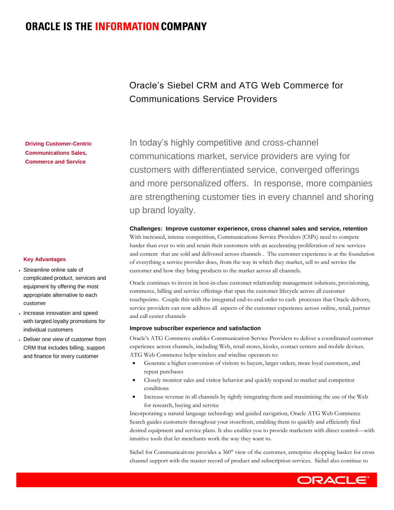# **ORACLE IS THE INFORMATION COMPANY**

# Oracle's Siebel CRM and ATG Web Commerce for Communications Service Providers

 In today's highly competitive and cross-channel communications market, service providers are vying for customers with differentiated service, converged offerings and more personalized offers. In response, more companies are strengthening customer ties in every channel and shoring up brand loyalty.

### **Challenges: Improve customer experience, cross channel sales and service, retention**

 With increased, intense competition, Communications Service Providers (CSPs) need to compete harder than ever to win and retain their customers with an accelerating proliferation of new services and content that are sold and delivered across channels . The customer experience is at the foundation of everything a service provider does, from the way in which they market, sell to and service the customer and how they bring products to the market across all channels.

 Oracle continues to invest in best-in-class customer relationship management solutions, provisioning, commerce, billing and service offerings that span the customer lifecycle across all customer touchpoints. Couple this with the integrated end-to-end order to cash processes that Oracle delivers, service providers can now address all aspects of the customer experience across online, retail, partner and call center channels

## **Improve subscriber experience and satisfaction**

 Oracle's ATG Commerce enables Communication Service Providers to deliver a coordinated customer experience across channels, including Web, retail stores, kiosks, contact centers and mobile devices. ATG Web Commerce helps wireless and wireline operators to:

- Generate a higher conversion of visitors to buyers, larger orders, more loyal customers, and repeat purchases
- Closely monitor sales and visitor behavior and quickly respond to market and competitor conditions
- Increase revenue in all channels by tightly integrating them and maximizing the use of the Web for research, buying and service

 Incorporating a natural language technology and guided navigation, Oracle ATG Web Commerce Search guides customers throughout your storefront, enabling them to quickly and efficiently find desired equipment and service plans. It also enables you to provide marketers with direct control—with intuitive tools that let merchants work the way they want to.

 Siebel for Communicaitons provides a 360° view of the customer, enterprise shopping basket for cross channel support with the master record of product and subscription services. Siebel also continue to

**Key Advantages** 

 **Commerce and Service** 

**Driving Customer-Centric Communications Sales,** 

- Streamline online sale of complicated product, services and equipment by offering the most appropriate alternative to each customer
- Increase innovation and speed with targted loyalty promotions for individual customers
- Deliver one view of customer from CRM that includes billing, support and finance for every customer